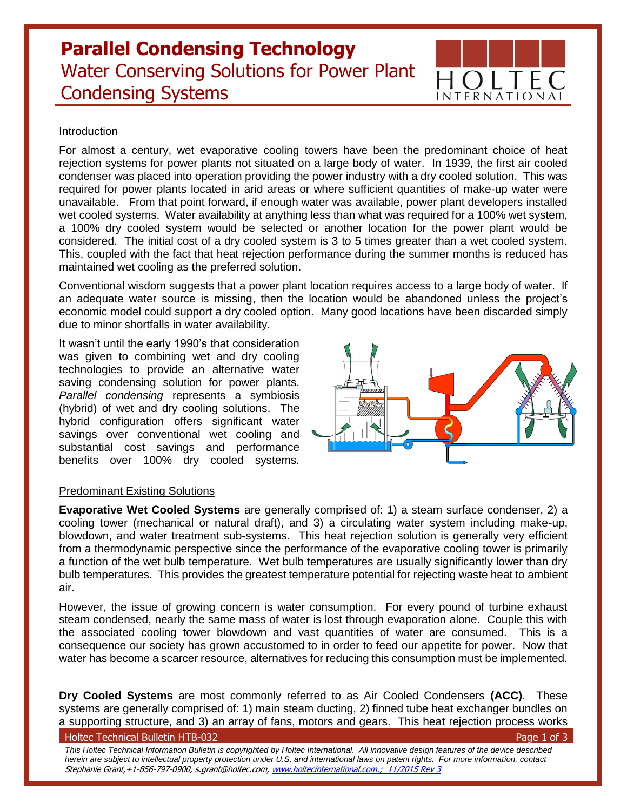# **Parallel Condensing Technology** Water Conserving Solutions for Power Plant Condensing Systems



## Introduction

For almost a century, wet evaporative cooling towers have been the predominant choice of heat rejection systems for power plants not situated on a large body of water. In 1939, the first air cooled condenser was placed into operation providing the power industry with a dry cooled solution. This was required for power plants located in arid areas or where sufficient quantities of make-up water were unavailable. From that point forward, if enough water was available, power plant developers installed wet cooled systems. Water availability at anything less than what was required for a 100% wet system, a 100% dry cooled system would be selected or another location for the power plant would be considered. The initial cost of a dry cooled system is 3 to 5 times greater than a wet cooled system. This, coupled with the fact that heat rejection performance during the summer months is reduced has maintained wet cooling as the preferred solution.

Conventional wisdom suggests that a power plant location requires access to a large body of water. If an adequate water source is missing, then the location would be abandoned unless the project's economic model could support a dry cooled option. Many good locations have been discarded simply due to minor shortfalls in water availability.

It wasn't until the early 1990's that consideration was given to combining wet and dry cooling technologies to provide an alternative water saving condensing solution for power plants. *Parallel condensing* represents a symbiosis (hybrid) of wet and dry cooling solutions. The hybrid configuration offers significant water savings over conventional wet cooling and substantial cost savings and performance benefits over 100% dry cooled systems.



# Predominant Existing Solutions

**Evaporative Wet Cooled Systems** are generally comprised of: 1) a steam surface condenser, 2) a cooling tower (mechanical or natural draft), and 3) a circulating water system including make-up, blowdown, and water treatment sub-systems. This heat rejection solution is generally very efficient from a thermodynamic perspective since the performance of the evaporative cooling tower is primarily a function of the wet bulb temperature. Wet bulb temperatures are usually significantly lower than dry bulb temperatures. This provides the greatest temperature potential for rejecting waste heat to ambient air.

However, the issue of growing concern is water consumption. For every pound of turbine exhaust steam condensed, nearly the same mass of water is lost through evaporation alone. Couple this with the associated cooling tower blowdown and vast quantities of water are consumed. This is a consequence our society has grown accustomed to in order to feed our appetite for power. Now that water has become a scarcer resource, alternatives for reducing this consumption must be implemented.

**Dry Cooled Systems** are most commonly referred to as Air Cooled Condensers **(ACC)**. These systems are generally comprised of: 1) main steam ducting, 2) finned tube heat exchanger bundles on a supporting structure, and 3) an array of fans, motors and gears. This heat rejection process works

#### Holtec Technical Bulletin HTB-032 Page 1 of 3

*This Holtec Technical Information Bulletin is copyrighted by Holtec International. All innovative design features of the device described herein are subject to intellectual property protection under U.S. and international laws on patent rights. For more information, contact*  Stephanie Grant,+1-856-797-0900, s.grant@holtec.com, [www.holtecinternational.com.](http://www.holtecinternational.com/); 11/2015 Rev 3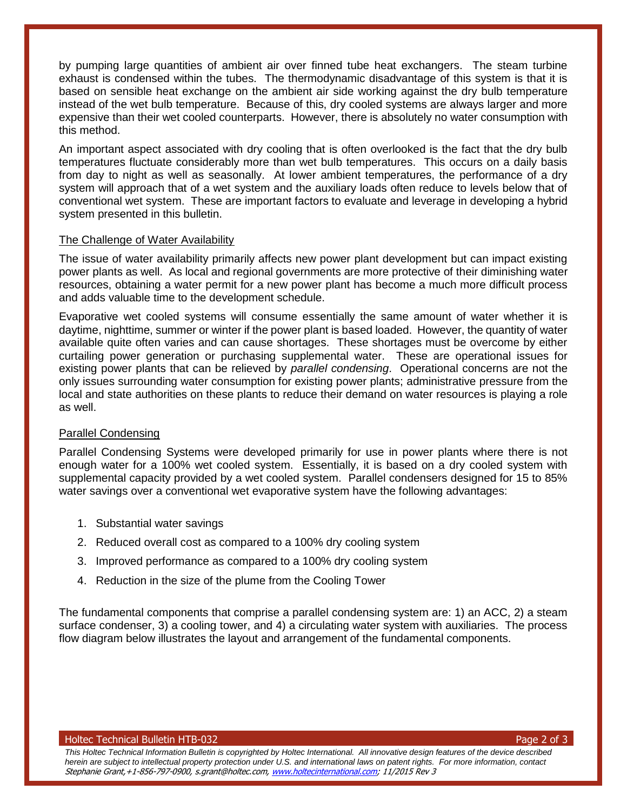by pumping large quantities of ambient air over finned tube heat exchangers. The steam turbine exhaust is condensed within the tubes. The thermodynamic disadvantage of this system is that it is based on sensible heat exchange on the ambient air side working against the dry bulb temperature instead of the wet bulb temperature. Because of this, dry cooled systems are always larger and more expensive than their wet cooled counterparts. However, there is absolutely no water consumption with this method.

An important aspect associated with dry cooling that is often overlooked is the fact that the dry bulb temperatures fluctuate considerably more than wet bulb temperatures. This occurs on a daily basis from day to night as well as seasonally. At lower ambient temperatures, the performance of a dry system will approach that of a wet system and the auxiliary loads often reduce to levels below that of conventional wet system. These are important factors to evaluate and leverage in developing a hybrid system presented in this bulletin.

## The Challenge of Water Availability

The issue of water availability primarily affects new power plant development but can impact existing power plants as well. As local and regional governments are more protective of their diminishing water resources, obtaining a water permit for a new power plant has become a much more difficult process and adds valuable time to the development schedule.

Evaporative wet cooled systems will consume essentially the same amount of water whether it is daytime, nighttime, summer or winter if the power plant is based loaded. However, the quantity of water available quite often varies and can cause shortages. These shortages must be overcome by either curtailing power generation or purchasing supplemental water. These are operational issues for existing power plants that can be relieved by *parallel condensing*. Operational concerns are not the only issues surrounding water consumption for existing power plants; administrative pressure from the local and state authorities on these plants to reduce their demand on water resources is playing a role as well.

## Parallel Condensing

Parallel Condensing Systems were developed primarily for use in power plants where there is not enough water for a 100% wet cooled system. Essentially, it is based on a dry cooled system with supplemental capacity provided by a wet cooled system. Parallel condensers designed for 15 to 85% water savings over a conventional wet evaporative system have the following advantages:

- 1. Substantial water savings
- 2. Reduced overall cost as compared to a 100% dry cooling system
- 3. Improved performance as compared to a 100% dry cooling system
- 4. Reduction in the size of the plume from the Cooling Tower

The fundamental components that comprise a parallel condensing system are: 1) an ACC, 2) a steam surface condenser, 3) a cooling tower, and 4) a circulating water system with auxiliaries. The process flow diagram below illustrates the layout and arrangement of the fundamental components.

Holtec Technical Bulletin HTB-032 Page 2 of 3

*This Holtec Technical Information Bulletin is copyrighted by Holtec International. All innovative design features of the device described herein are subject to intellectual property protection under U.S. and international laws on patent rights. For more information, contact*  Stephanie Grant,+1-856-797-0900, s.grant@holtec.com, [www.holtecinternational.com;](http://www.holtecinternational.com/) 11/2015 Rev 3